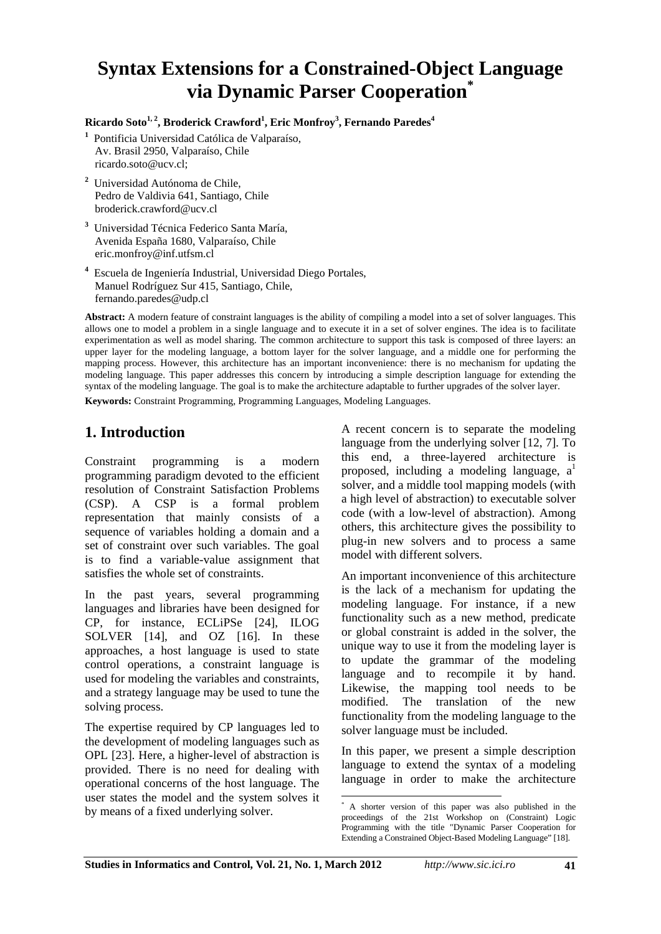# **Syntax Extensions for a Constrained-Object Language via Dynamic Parser Cooperation\***

 $\mathbf{Ricardo\,} \mathbf{Soto}^{1,2}, \mathbf{Broderick\,} \mathbf{Crawford}^{1}, \mathbf{Eric\,} \mathbf{Monfroy}^{3}, \mathbf{Fernando\,} \mathbf{Paredes}^{4}$ 

- **<sup>1</sup>** Pontificia Universidad Católica de Valparaíso, Av. Brasil 2950, Valparaíso, Chile ricardo.soto@ucv.cl;
- **2** Universidad Autónoma de Chile, Pedro de Valdivia 641, Santiago, Chile broderick.crawford@ucv.cl
- **3** Universidad Técnica Federico Santa María, Avenida España 1680, Valparaíso, Chile eric.monfroy@inf.utfsm.cl
- **4** Escuela de Ingeniería Industrial, Universidad Diego Portales, Manuel Rodríguez Sur 415, Santiago, Chile, fernando.paredes@udp.cl

**Abstract:** A modern feature of constraint languages is the ability of compiling a model into a set of solver languages. This allows one to model a problem in a single language and to execute it in a set of solver engines. The idea is to facilitate experimentation as well as model sharing. The common architecture to support this task is composed of three layers: an upper layer for the modeling language, a bottom layer for the solver language, and a middle one for performing the mapping process. However, this architecture has an important inconvenience: there is no mechanism for updating the modeling language. This paper addresses this concern by introducing a simple description language for extending the syntax of the modeling language. The goal is to make the architecture adaptable to further upgrades of the solver layer.

**Keywords:** Constraint Programming, Programming Languages, Modeling Languages.

### **1. Introduction**

Constraint programming is a modern programming paradigm devoted to the efficient resolution of Constraint Satisfaction Problems (CSP). A CSP is a formal problem representation that mainly consists of a sequence of variables holding a domain and a set of constraint over such variables. The goal is to find a variable-value assignment that satisfies the whole set of constraints.

In the past years, several programming languages and libraries have been designed for CP, for instance, ECLiPSe [24], ILOG SOLVER [14], and OZ [16]. In these approaches, a host language is used to state control operations, a constraint language is used for modeling the variables and constraints, and a strategy language may be used to tune the solving process.

The expertise required by CP languages led to the development of modeling languages such as OPL [23]. Here, a higher-level of abstraction is provided. There is no need for dealing with operational concerns of the host language. The user states the model and the system solves it by means of a fixed underlying solver.

A recent concern is to separate the modeling language from the underlying solver [12, 7]. To this end, a three-layered architecture is proposed, including a modeling language,  $a^1$ solver, and a middle tool mapping models (with a high level of abstraction) to executable solver code (with a low-level of abstraction). Among others, this architecture gives the possibility to plug-in new solvers and to process a same model with different solvers.

An important inconvenience of this architecture is the lack of a mechanism for updating the modeling language. For instance, if a new functionality such as a new method, predicate or global constraint is added in the solver, the unique way to use it from the modeling layer is to update the grammar of the modeling language and to recompile it by hand. Likewise, the mapping tool needs to be modified. The translation of the new functionality from the modeling language to the solver language must be included.

In this paper, we present a simple description language to extend the syntax of a modeling language in order to make the architecture

 \* A shorter version of this paper was also published in the proceedings of the 21st Workshop on (Constraint) Logic Programming with the title "Dynamic Parser Cooperation for Extending a Constrained Object-Based Modeling Language" [18].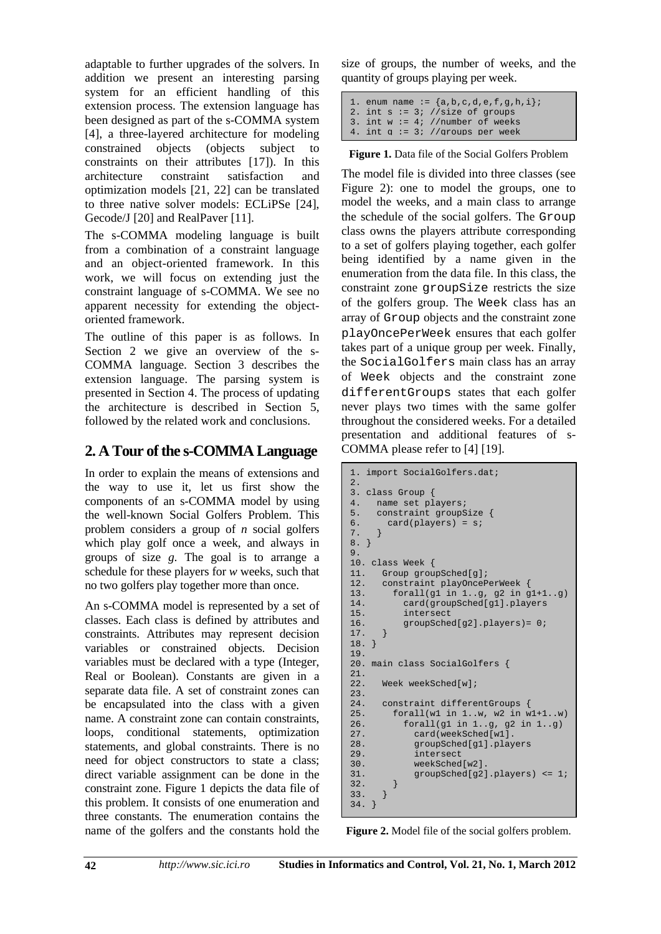adaptable to further upgrades of the solvers. In addition we present an interesting parsing system for an efficient handling of this extension process. The extension language has been designed as part of the s-COMMA system [4], a three-layered architecture for modeling constrained objects (objects subject to constraints on their attributes [17]). In this architecture constraint satisfaction and optimization models [21, 22] can be translated to three native solver models: ECLiPSe [24], Gecode/J [20] and RealPaver [11].

The s-COMMA modeling language is built from a combination of a constraint language and an object-oriented framework. In this work, we will focus on extending just the constraint language of s-COMMA. We see no apparent necessity for extending the objectoriented framework.

The outline of this paper is as follows. In Section 2 we give an overview of the s-COMMA language. Section 3 describes the extension language. The parsing system is presented in Section 4. The process of updating the architecture is described in Section 5, followed by the related work and conclusions.

### **2. A Tour of the s-COMMA Language**

In order to explain the means of extensions and the way to use it, let us first show the components of an s-COMMA model by using the well-known Social Golfers Problem. This problem considers a group of *n* social golfers which play golf once a week, and always in groups of size *g*. The goal is to arrange a schedule for these players for *w* weeks, such that no two golfers play together more than once.

An s-COMMA model is represented by a set of classes. Each class is defined by attributes and constraints. Attributes may represent decision variables or constrained objects. Decision variables must be declared with a type (Integer, Real or Boolean). Constants are given in a separate data file. A set of constraint zones can be encapsulated into the class with a given name. A constraint zone can contain constraints, loops, conditional statements, optimization statements, and global constraints. There is no need for object constructors to state a class; direct variable assignment can be done in the constraint zone. Figure 1 depicts the data file of this problem. It consists of one enumeration and three constants. The enumeration contains the name of the golfers and the constants hold the

size of groups, the number of weeks, and the quantity of groups playing per week.

|  | 1. enum name := ${a,b,c,d,e,f,g,h,i}$ |
|--|---------------------------------------|
|  | 2. int $s := 3$ ; //size of groups    |
|  | 3. int $w := 4$ ; //number of weeks   |
|  | 4. int $q := 3$ ; //groups per week   |

**Figure 1.** Data file of the Social Golfers Problem

The model file is divided into three classes (see Figure 2): one to model the groups, one to model the weeks, and a main class to arrange the schedule of the social golfers. The Group class owns the players attribute corresponding to a set of golfers playing together, each golfer being identified by a name given in the enumeration from the data file. In this class, the constraint zone groupSize restricts the size of the golfers group. The Week class has an array of Group objects and the constraint zone playOncePerWeek ensures that each golfer takes part of a unique group per week. Finally, the SocialGolfers main class has an array of Week objects and the constraint zone differentGroups states that each golfer never plays two times with the same golfer throughout the considered weeks. For a detailed presentation and additional features of s-COMMA please refer to [4] [19].

```
1. import SocialGolfers.dat; 
2. 
3. class Group { 
4. name set players;<br>5. constraint groupS
5. constraint groupSize {<br>6. card(players) = s;
        card(players) = si7. } 
8. } 
Q10. class Week {<br>11. Group grou
       Group groupSched[g];
12. constraint playOncePerWeek { 
13. forall(g1 in 1..g, g2 in g1+1..g) 
14. card(groupSched[g1].players<br>15. intersect
            intersect
16. groupSched[g2].players)= 0; 
17. } 
18. } 
19. 
20. main class SocialGolfers { 
\frac{21}{22}.
       Week weekSched[w];
23.24.constraint differentGroups {
25. forall(w1 in 1..w, w2 in w1+1..w) 
26. forall(g1 in 1..g, g2 in 1..g)<br>27. card(weekSched[w1].
27. card(weekSched[w1].<br>28. croupSched[g1].play
               groupSched[g1].players
29. intersect 
30. weekSched[w2]. 
31. groupSched[g2].players) <= 1; 
\begin{array}{c} 32. \\ 33. \end{array} }
33. } 
34. }
```
**Figure 2.** Model file of the social golfers problem.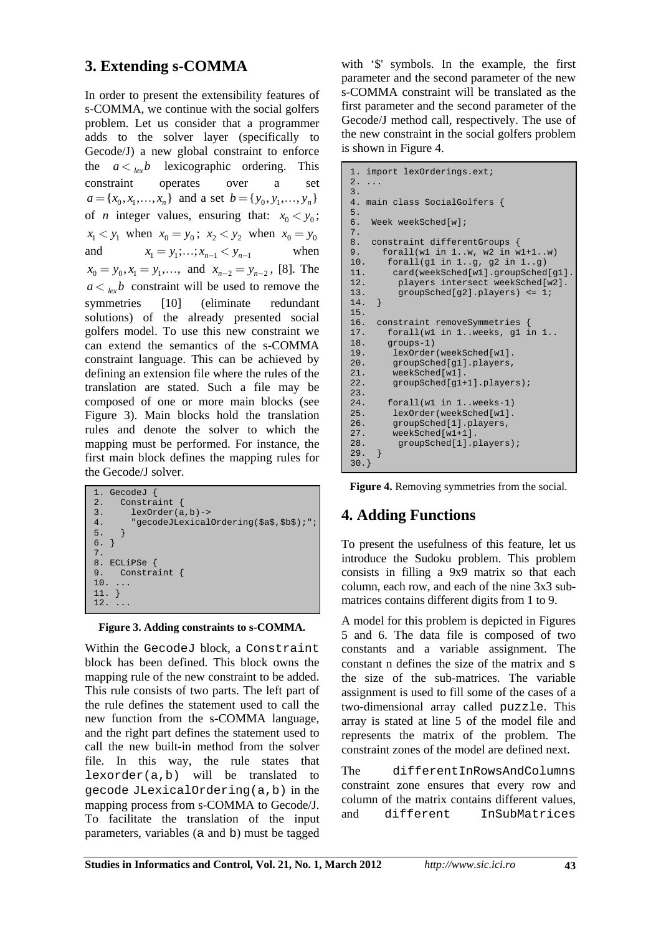### **3. Extending s-COMMA**

In order to present the extensibility features of s-COMMA, we continue with the social golfers problem. Let us consider that a programmer adds to the solver layer (specifically to Gecode/J) a new global constraint to enforce the  $a <_{\text{lex}} b$  lexicographic ordering. This constraint operates over a set  $a = \{x_0, x_1, \ldots, x_n\}$  and a set  $b = \{y_0, y_1, \ldots, y_n\}$ of *n* integer values, ensuring that:  $x_0 < y_0$ ;  $x_1 < y_1$  when  $x_0 = y_0$ ;  $x_2 < y_2$  when  $x_0 = y_0$ and  $x_1 = y_1; \dots; x_{n-1} < y_{n-1}$  when  $x_0 = y_0, x_1 = y_1, \dots$ , and  $x_{n-2} = y_{n-2}$ , [8]. The  $a <_{\ell_{\text{av}}} b$  constraint will be used to remove the symmetries [10] (eliminate redundant solutions) of the already presented social golfers model. To use this new constraint we can extend the semantics of the s-COMMA constraint language. This can be achieved by defining an extension file where the rules of the translation are stated. Such a file may be composed of one or more main blocks (see Figure 3). Main blocks hold the translation rules and denote the solver to which the mapping must be performed. For instance, the first main block defines the mapping rules for the Gecode/J solver.

| 1. GecodeJ                                    |  |  |  |  |
|-----------------------------------------------|--|--|--|--|
| 2. Constraint {                               |  |  |  |  |
| 3.<br>$lexOrder(a, b) \rightarrow$            |  |  |  |  |
| 4.<br>"gecodeJLexicalOrdering(\$a\$,\$b\$);"; |  |  |  |  |
| 5.                                            |  |  |  |  |
| 6.                                            |  |  |  |  |
| 7.                                            |  |  |  |  |
| 8. ECLiPSe {                                  |  |  |  |  |
| 9. Constraint $\{$                            |  |  |  |  |
| $10. \ldots$                                  |  |  |  |  |
| 11.                                           |  |  |  |  |
| 12.                                           |  |  |  |  |
|                                               |  |  |  |  |

**Figure 3. Adding constraints to s-COMMA.**

Within the GecodeJ block, a Constraint block has been defined. This block owns the mapping rule of the new constraint to be added. This rule consists of two parts. The left part of the rule defines the statement used to call the new function from the s-COMMA language, and the right part defines the statement used to call the new built-in method from the solver file. In this way, the rule states that lexorder(a,b) will be translated to gecode JLexicalOrdering(a,b) in the mapping process from s-COMMA to Gecode/J. To facilitate the translation of the input parameters, variables (a and b) must be tagged

with '\$' symbols. In the example, the first parameter and the second parameter of the new s-COMMA constraint will be translated as the first parameter and the second parameter of the Gecode/J method call, respectively. The use of the new constraint in the social golfers problem is shown in Figure 4.

```
1. import lexOrderings.ext; 
2. ... 
3. 
4. main class SocialGolfers { 
5. 
6. Week weekSched[w]; 
7. 
8. constraint differentGroups { 
9. forall(w1 in 1..w, w2 in w1+1...w)<br>10. forall(g1 in 1..g, g2 in 1..g)
10. forall(g1 in 1..g, g2 in 1..g)<br>11 card(weekSched[w1].groupSched
          11. card(weekSched[w1].groupSched[g1].
12. players intersect weekSched[w2]. 
13. groupSched[g2].players) <= 1; 
14. } 
15.16.16. constraint removeSymmetries {<br>17. forall(w1 in 1..weeks, g1 i
         forall(w1 in 1. weeks, g1 in 1..
18. groups-1) 
19. lexOrder(weekSched[w1]. 
20. groupSched[g1].players, 
21. weekSched[w1].<br>22. groupSched[g1+
          groupSched[g1+1].players);
23. 
24. forall(w1 in 1..weeks-1) 
25. lexOrder(weekSched[w1]. 
26. groupSched[1].players,<br>27. weekSched[w1+1].
27. weekSched[w1+1].<br>28. aroupSched[1].p
      groupSched[1].players);<br>}
29. } 
30.}
```
**Figure 4.** Removing symmetries from the social.

## **4. Adding Functions**

To present the usefulness of this feature, let us introduce the Sudoku problem. This problem consists in filling a 9x9 matrix so that each column, each row, and each of the nine 3x3 submatrices contains different digits from 1 to 9.

A model for this problem is depicted in Figures 5 and 6. The data file is composed of two constants and a variable assignment. The constant n defines the size of the matrix and s the size of the sub-matrices. The variable assignment is used to fill some of the cases of a two-dimensional array called puzzle. This array is stated at line 5 of the model file and represents the matrix of the problem. The constraint zones of the model are defined next.

The differentInRowsAndColumns constraint zone ensures that every row and column of the matrix contains different values, and different InSubMatrices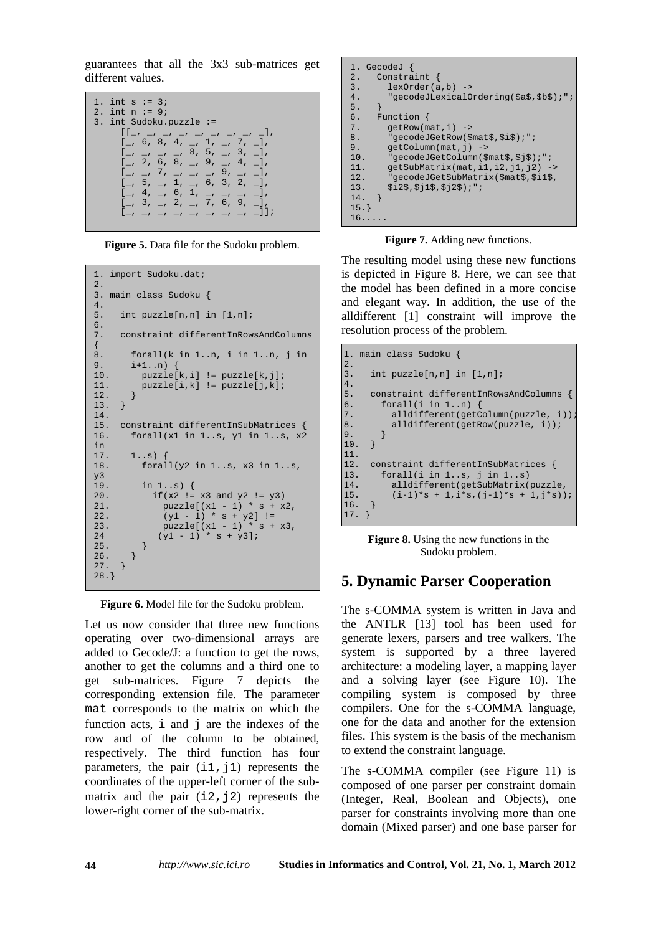guarantees that all the 3x3 sub-matrices get different values.

```
1. int s := 3i2. int n := 9;
3. int Sudoku.puzzle := 
\begin{bmatrix} 1 & 1 & 1 \\ 1 & 1 & 1 \\ 1 & 1 & 1 \end{bmatrix}\lbrack, 6, 8, 4, \lbrack, 1, \lbrack, 7, \lbrack,
 [_, _, _, _, 8, 5, _, 3, _], 
\lbrack 2, 6, 8, \underline{\ } , 9, \underline{\ } , 4, \underline{\ } \rbrack,[\_ \ ,\_ \ ,\ 7\, ,\_ \ ,\_ \ ,\_ \ ,\ _ \ 9\, ,\_ \ ,\_ \ ]\, ,\lbrack -, 5, -, 1, -, 6, 3, 2, -],\left[\begin{array}{ccccccccccccc} 4, & 4, & \ldots & 6, & 1, & \ldots & \ldots & \ldots & \ldots \end{array}\right],\lbrack -, 3, -, 2, -, 7, 6, 9, -],[
```
**Figure 5.** Data file for the Sudoku problem.

```
1. import Sudoku.dat; 
2. 
3. main class Sudoku { 
\frac{4}{5}.
      int puzzle[n,n] in [1,n];
6. 
7. constraint differentInRowsAndColumns 
{ 
8. forall(k in 1..n, i in 1..n, j in (3)9. i+1..n) { 
           puzzle[k,i] != puzzle[k,j];11. \n  puzzle[i,k] := puzzle[j,k];<br>12. \n}12. } 
13. } 
14. 
15. constraint differentInSubMatrices { 
16. forall(x1 in 1..s, y1 in 1..s, x2 
\frac{\text{in}}{17}.
17. 1. . s) {<br>18 foral
           forall(y2 in 1..s, x3 in 1..s,
y^3<br>19.
           in 1..s {
20. if(x2 != x3 and y2 != y3)<br>21. puzzle[(x1 - 1) * s + x
21. puzzle[(x1 - 1) * s + x2,<br>
22. (y1 - 1) * s + y2] !=22. (y1 - 1) * s + y2] !=<br>23. puzzle(x1 - 1) * s +puzzle[(x1 - 1) * s + x3,24 (y1 - 1) * s + y3;<br>25.
25.26. }<br>27. }
27.28.}
```
**Figure 6.** Model file for the Sudoku problem.

Let us now consider that three new functions operating over two-dimensional arrays are added to Gecode/J: a function to get the rows, another to get the columns and a third one to get sub-matrices. Figure 7 depicts the corresponding extension file. The parameter mat corresponds to the matrix on which the function acts,  $\pm$  and  $\pm$  are the indexes of the row and of the column to be obtained, respectively. The third function has four parameters, the pair  $(i1, j1)$  represents the coordinates of the upper-left corner of the submatrix and the pair  $(i2, j2)$  represents the lower-right corner of the sub-matrix.

```
1. GecodeJ {<br>2. Constra
        Constraint {
3. lexOrder(a,b) \rightarrow<br>4. "greodeJLexical4. "gecodeJLexicalOrdering($a$,$b$);";
rac{5}{6}.
6. Function \{7. getRow(m)
7. getRow(mat, i) \rightarrow 8. "gecodeJGetRow($)
           "gecodeJGetRow($mat$,$i$);";
9. getColumn(mat,j) -><br>10. "gecodeJGetColumn($r
           "gecodeJGetColumn($mat$,$j$);";
11. getSubMatrix(mat,i1,i2,j1,j2) -><br>12. "gecodeJGetSubMatrix(SmatS.Si1S.
12. "gecodeJGetSubMatrix($mat$,$i1$,<br>13. $i2$,$j1$,$j2$);";
           $i2$, $j1$, $j2$);";
14. } 
15.} 
16.....
```
**Figure 7.** Adding new functions.

The resulting model using these new functions is depicted in Figure 8. Here, we can see that the model has been defined in a more concise and elegant way. In addition, the use of the alldifferent [1] constraint will improve the resolution process of the problem.

```
1. main class Sudoku { 
\left| \begin{array}{c} 2 \\ 3 \end{array} \right|int puzzle[n,n] in [1,n];
\begin{bmatrix} 4 \\ 5 \end{bmatrix}5. constraint differentInRowsAndColumns {<br>6. forall(i in 1..n) {
\begin{bmatrix} 6. & \text{forall}(i \text{ in } 1..n) \\ 7. & \text{alldifferent}(\text{getC}) \end{bmatrix}7. alldifferent(getColumn(puzzle, i))<br>8. alldifferent(getRow(puzzle, i));
               alldifferent(getRow(puzzle, i));<br>}
\begin{bmatrix} 9 & 0 \\ 10 & 0 \end{bmatrix}\vert10.
\left| \begin{smallmatrix} 11 \ 12 \end{smallmatrix} \right|12. constraint differentInSubMatrices {<br>13. forall(i in 1..s, j in 1..s)
13. forall(i in 1..s, j in 1..s)<br>14. alldifferent(getSubMatrix(
14. alldifferent(getSubMatrix(puzzle,<br>15. (i-1)*s + 1,i*s,(j-1)*s + 1,j*s))(i-1)*s + 1,i*s,(j-1)*s + 1,j*s));16.17. }
```
**Figure 8.** Using the new functions in the Sudoku problem.

## **5. Dynamic Parser Cooperation**

The s-COMMA system is written in Java and the ANTLR [13] tool has been used for generate lexers, parsers and tree walkers. The system is supported by a three layered architecture: a modeling layer, a mapping layer and a solving layer (see Figure 10). The compiling system is composed by three compilers. One for the s-COMMA language, one for the data and another for the extension files. This system is the basis of the mechanism to extend the constraint language.

The s-COMMA compiler (see Figure 11) is composed of one parser per constraint domain (Integer, Real, Boolean and Objects), one parser for constraints involving more than one domain (Mixed parser) and one base parser for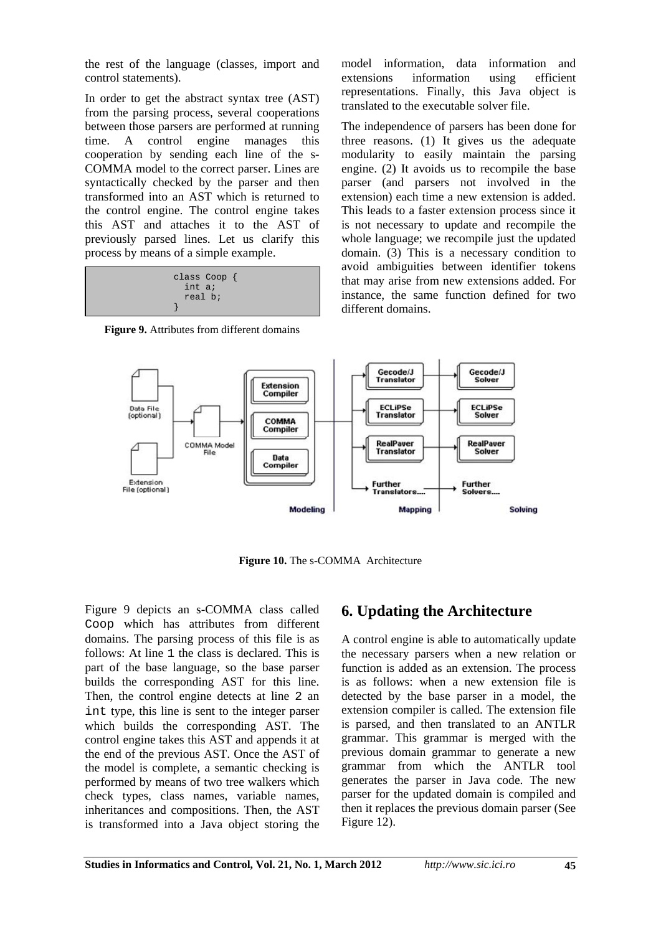the rest of the language (classes, import and control statements).

In order to get the abstract syntax tree (AST) from the parsing process, several cooperations between those parsers are performed at running time. A control engine manages this cooperation by sending each line of the s-COMMA model to the correct parser. Lines are syntactically checked by the parser and then transformed into an AST which is returned to the control engine. The control engine takes this AST and attaches it to the AST of previously parsed lines. Let us clarify this process by means of a simple example.

| class Coop $\{$ |  |
|-----------------|--|
| int a;          |  |
| real b;         |  |
|                 |  |

**Figure 9.** Attributes from different domains

model information, data information and extensions information using efficient representations. Finally, this Java object is translated to the executable solver file.

The independence of parsers has been done for three reasons. (1) It gives us the adequate modularity to easily maintain the parsing engine. (2) It avoids us to recompile the base parser (and parsers not involved in the extension) each time a new extension is added. This leads to a faster extension process since it is not necessary to update and recompile the whole language; we recompile just the updated domain. (3) This is a necessary condition to avoid ambiguities between identifier tokens that may arise from new extensions added. For instance, the same function defined for two different domains.



**Figure 10.** The s-COMMA Architecture

Figure 9 depicts an s-COMMA class called Coop which has attributes from different domains. The parsing process of this file is as follows: At line 1 the class is declared. This is part of the base language, so the base parser builds the corresponding AST for this line. Then, the control engine detects at line 2 an int type, this line is sent to the integer parser which builds the corresponding AST. The control engine takes this AST and appends it at the end of the previous AST. Once the AST of the model is complete, a semantic checking is performed by means of two tree walkers which check types, class names, variable names, inheritances and compositions. Then, the AST is transformed into a Java object storing the

### **6. Updating the Architecture**

A control engine is able to automatically update the necessary parsers when a new relation or function is added as an extension. The process is as follows: when a new extension file is detected by the base parser in a model, the extension compiler is called. The extension file is parsed, and then translated to an ANTLR grammar. This grammar is merged with the previous domain grammar to generate a new grammar from which the ANTLR tool generates the parser in Java code. The new parser for the updated domain is compiled and then it replaces the previous domain parser (See Figure 12).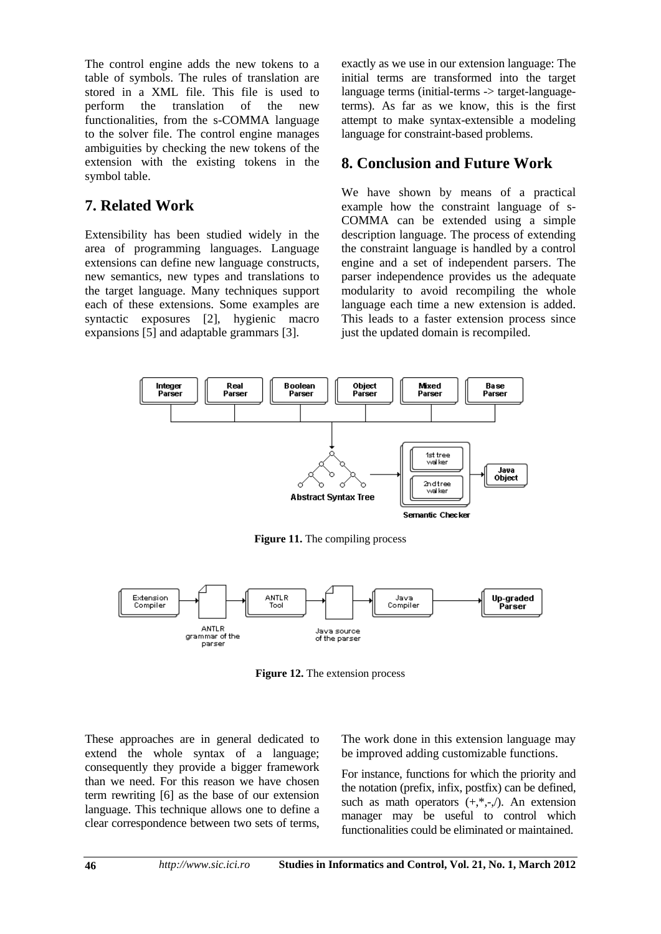The control engine adds the new tokens to a table of symbols. The rules of translation are stored in a XML file. This file is used to perform the translation of the new functionalities, from the s-COMMA language to the solver file. The control engine manages ambiguities by checking the new tokens of the extension with the existing tokens in the symbol table.

### **7. Related Work**

Extensibility has been studied widely in the area of programming languages. Language extensions can define new language constructs, new semantics, new types and translations to the target language. Many techniques support each of these extensions. Some examples are syntactic exposures [2], hygienic macro expansions [5] and adaptable grammars [3].

exactly as we use in our extension language: The initial terms are transformed into the target language terms (initial-terms -> target-languageterms). As far as we know, this is the first attempt to make syntax-extensible a modeling language for constraint-based problems.

### **8. Conclusion and Future Work**

We have shown by means of a practical example how the constraint language of s-COMMA can be extended using a simple description language. The process of extending the constraint language is handled by a control engine and a set of independent parsers. The parser independence provides us the adequate modularity to avoid recompiling the whole language each time a new extension is added. This leads to a faster extension process since just the updated domain is recompiled.



**Figure 11.** The compiling process



**Figure 12.** The extension process

These approaches are in general dedicated to extend the whole syntax of a language; consequently they provide a bigger framework than we need. For this reason we have chosen term rewriting [6] as the base of our extension language. This technique allows one to define a clear correspondence between two sets of terms, The work done in this extension language may be improved adding customizable functions.

For instance, functions for which the priority and the notation (prefix, infix, postfix) can be defined, such as math operators  $(+,*,-$ <sub> $\cdot$ </sub>). An extension manager may be useful to control which functionalities could be eliminated or maintained.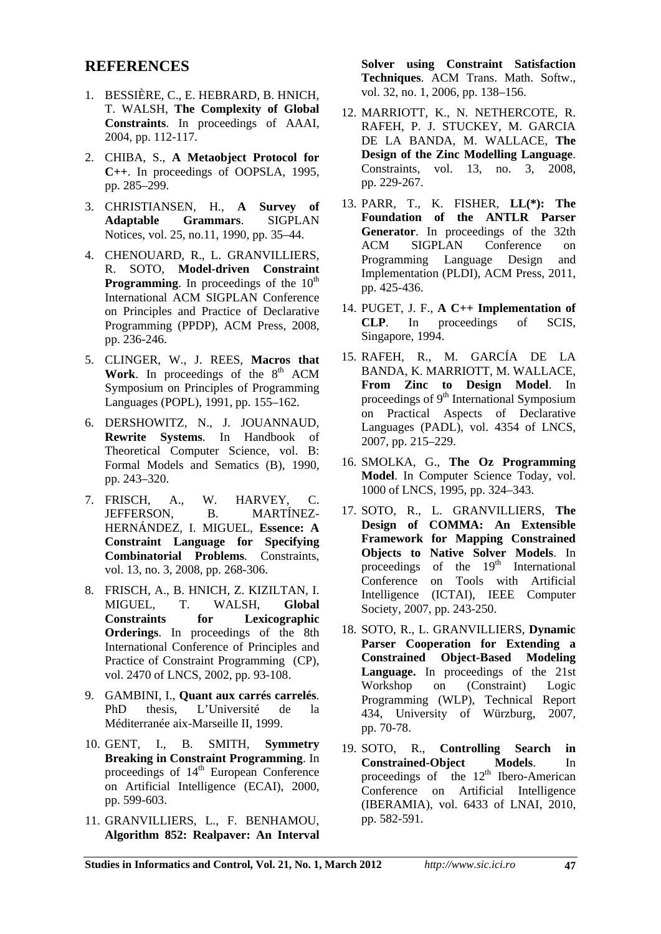#### **REFERENCES**

- 1. BESSIÈRE, C., E. HEBRARD, B. HNICH, T. WALSH, **The Complexity of Global Constraints**. In proceedings of AAAI, 2004, pp. 112-117.
- 2. CHIBA, S., **A Metaobject Protocol for C++**. In proceedings of OOPSLA, 1995, pp. 285–299.
- 3. CHRISTIANSEN, H., **A Survey of Adaptable Grammars**. SIGPLAN Notices, vol. 25, no.11, 1990, pp. 35–44.
- 4. CHENOUARD, R., L. GRANVILLIERS, R. SOTO, **Model-driven Constraint Programming**. In proceedings of the 10<sup>th</sup> International ACM SIGPLAN Conference on Principles and Practice of Declarative Programming (PPDP), ACM Press, 2008, pp. 236-246.
- 5. CLINGER, W., J. REES, **Macros that Work**. In proceedings of the  $8<sup>th</sup>$  ACM Symposium on Principles of Programming Languages (POPL), 1991, pp. 155–162.
- 6. DERSHOWITZ, N., J. JOUANNAUD, **Rewrite Systems**. In Handbook of Theoretical Computer Science, vol. B: Formal Models and Sematics (B), 1990, pp. 243–320.
- 7. FRISCH, A., W. HARVEY, C. JEFFERSON, B. MARTÍNEZ-HERNÁNDEZ, I. MIGUEL, **Essence: A Constraint Language for Specifying Combinatorial Problems**. Constraints, vol. 13, no. 3, 2008, pp. 268-306.
- 8. FRISCH, A., B. HNICH, Z. KIZILTAN, I. MIGUEL, T. WALSH, **Global Constraints for Lexicographic Orderings**. In proceedings of the 8th International Conference of Principles and Practice of Constraint Programming (CP), vol. 2470 of LNCS, 2002, pp. 93-108.
- 9. GAMBINI, I., **Quant aux carrés carrelés**. PhD thesis, L'Université de la Méditerranée aix-Marseille II, 1999.
- 10. GENT, I., B. SMITH, **Symmetry Breaking in Constraint Programming**. In proceedings of 14<sup>th</sup> European Conference on Artificial Intelligence (ECAI), 2000, pp. 599-603.
- 11. GRANVILLIERS, L., F. BENHAMOU, **Algorithm 852: Realpaver: An Interval**

**Solver using Constraint Satisfaction Techniques**. ACM Trans. Math. Softw., vol. 32, no. 1, 2006, pp. 138–156.

- 12. MARRIOTT, K., N. NETHERCOTE, R. RAFEH, P. J. STUCKEY, M. GARCIA DE LA BANDA, M. WALLACE, **The Design of the Zinc Modelling Language**. Constraints, vol. 13, no. 3, 2008, pp. 229-267.
- 13. PARR, T., K. FISHER, **LL(\*): The Foundation of the ANTLR Parser Generator**. In proceedings of the 32th ACM SIGPLAN Conference on Programming Language Design and Implementation (PLDI), ACM Press, 2011, pp. 425-436.
- 14. PUGET, J. F., **A C++ Implementation of CLP**. In proceedings of SCIS, Singapore, 1994.
- 15. RAFEH, R., M. GARCÍA DE LA BANDA, K. MARRIOTT, M. WALLACE, **From Zinc to Design Model**. In proceedings of 9<sup>th</sup> International Symposium on Practical Aspects of Declarative Languages (PADL), vol. 4354 of LNCS, 2007, pp. 215–229.
- 16. SMOLKA, G., **The Oz Programming Model**. In Computer Science Today, vol. 1000 of LNCS, 1995, pp. 324–343.
- 17. SOTO, R., L. GRANVILLIERS, **The Design of COMMA: An Extensible Framework for Mapping Constrained Objects to Native Solver Models**. In proceedings of the  $19<sup>th</sup>$  International Conference on Tools with Artificial Intelligence (ICTAI), IEEE Computer Society, 2007, pp. 243-250.
- 18. SOTO, R., L. GRANVILLIERS, **Dynamic Parser Cooperation for Extending a Constrained Object-Based Modeling Language.** In proceedings of the 21st Workshop on (Constraint) Logic Programming (WLP), Technical Report 434, University of Würzburg, 2007, pp. 70-78.
- 19. SOTO, R., **Controlling Search in Constrained-Object Models**. In proceedings of the  $12<sup>th</sup>$  Ibero-American Conference on Artificial Intelligence (IBERAMIA), vol. 6433 of LNAI, 2010, pp. 582-591.